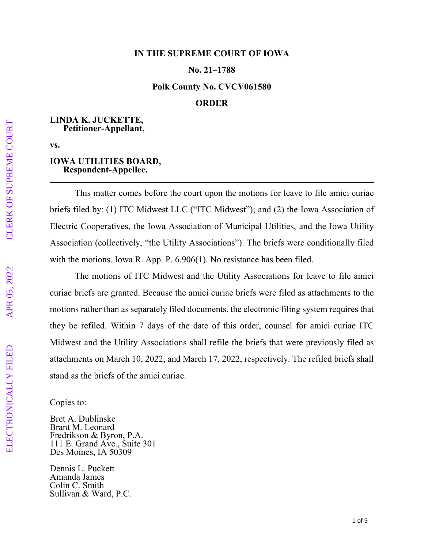### **IN THE SUPREME COURT OF IOWA**

## **No. 21–1788**

#### **Polk County No. CVCV061580**

# **ORDER**

## **LINDA K. JUCKETTE, Petitioner-Appellant,**

**vs.** 

### **IOWA UTILITIES BOARD, Respondent-Appellee.**

This matter comes before the court upon the motions for leave to file amici curiae briefs filed by: (1) ITC Midwest LLC ("ITC Midwest"); and (2) the Iowa Association of Electric Cooperatives, the Iowa Association of Municipal Utilities, and the Iowa Utility Association (collectively, "the Utility Associations"). The briefs were conditionally filed with the motions. Iowa R. App. P. 6.906(1). No resistance has been filed.

The motions of ITC Midwest and the Utility Associations for leave to file amici curiae briefs are granted. Because the amici curiae briefs were filed as attachments to the motions rather than as separately filed documents, the electronic filing system requires that they be refiled. Within 7 days of the date of this order, counsel for amici curiae ITC Midwest and the Utility Associations shall refile the briefs that were previously filed as attachments on March 10, 2022, and March 17, 2022, respectively. The refiled briefs shall stand as the briefs of the amici curiae.

Copies to:

Bret A. Dublinske Brant M. Leonard Fredrikson & Byron, P.A. 111 E. Grand Ave., Suite 301 Des Moines, IA 50309

Dennis L. Puckett Amanda James Colin C. Smith Sullivan & Ward, P.C.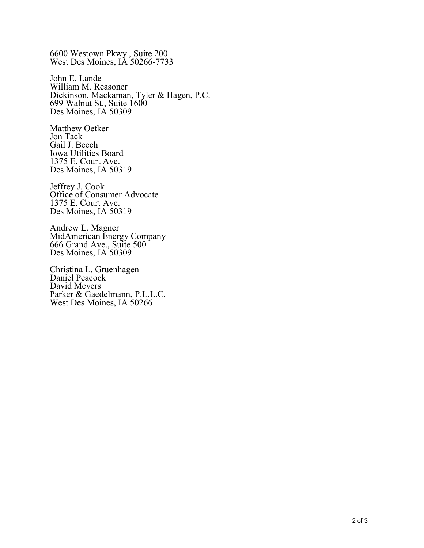6600 Westown Pkwy., Suite 200 West Des Moines, IA 50266-7733

John E. Lande William M. Reasoner Dickinson, Mackaman, Tyler & Hagen, P.C. 699 Walnut St., Suite 1600 Des Moines, IA 50309

Matthew Oetker Jon Tack Gail J. Beech Iowa Utilities Board 1375 E. Court Ave. Des Moines, IA 50319

Jeffrey J. Cook Office of Consumer Advocate 1375 E. Court Ave. Des Moines, IA 50319

Andrew L. Magner MidAmerican Energy Company 666 Grand Ave., Suite 500 Des Moines, IA 50309

Christina L. Gruenhagen Daniel Peacock David Meyers Parker & Gaedelmann, P.L.L.C. West Des Moines, IA 50266